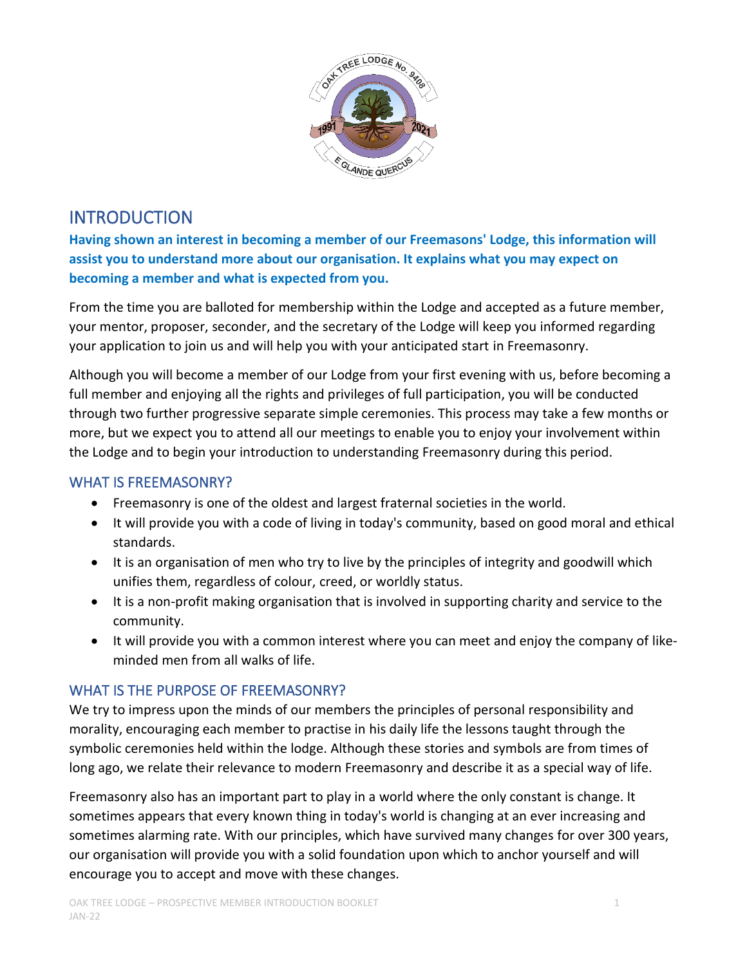

# INTRODUCTION

**Having shown an interest in becoming a member of our Freemasons' Lodge, this information will assist you to understand more about our organisation. It explains what you may expect on becoming a member and what is expected from you.**

From the time you are balloted for membership within the Lodge and accepted as a future member, your mentor, proposer, seconder, and the secretary of the Lodge will keep you informed regarding your application to join us and will help you with your anticipated start in Freemasonry.

Although you will become a member of our Lodge from your first evening with us, before becoming a full member and enjoying all the rights and privileges of full participation, you will be conducted through two further progressive separate simple ceremonies. This process may take a few months or more, but we expect you to attend all our meetings to enable you to enjoy your involvement within the Lodge and to begin your introduction to understanding Freemasonry during this period.

#### WHAT IS FREEMASONRY?

- Freemasonry is one of the oldest and largest fraternal societies in the world.
- It will provide you with a code of living in today's community, based on good moral and ethical standards.
- It is an organisation of men who try to live by the principles of integrity and goodwill which unifies them, regardless of colour, creed, or worldly status.
- It is a non-profit making organisation that is involved in supporting charity and service to the community.
- It will provide you with a common interest where you can meet and enjoy the company of likeminded men from all walks of life.

# WHAT IS THE PURPOSE OF FREEMASONRY?

We try to impress upon the minds of our members the principles of personal responsibility and morality, encouraging each member to practise in his daily life the lessons taught through the symbolic ceremonies held within the lodge. Although these stories and symbols are from times of long ago, we relate their relevance to modern Freemasonry and describe it as a special way of life.

Freemasonry also has an important part to play in a world where the only constant is change. It sometimes appears that every known thing in today's world is changing at an ever increasing and sometimes alarming rate. With our principles, which have survived many changes for over 300 years, our organisation will provide you with a solid foundation upon which to anchor yourself and will encourage you to accept and move with these changes.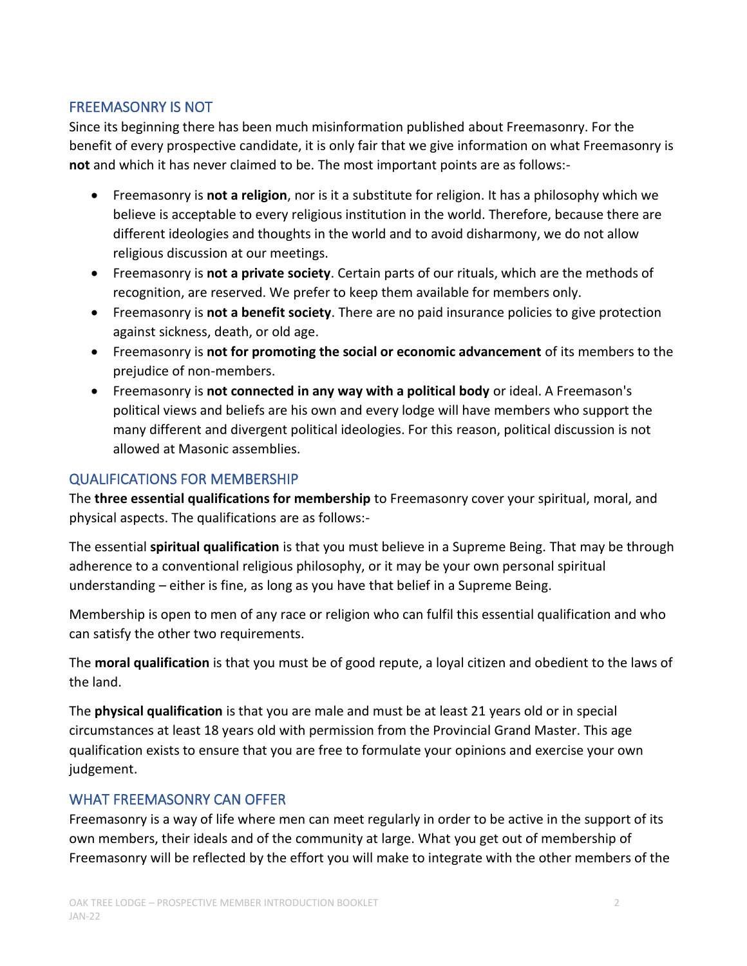#### FREEMASONRY IS NOT

Since its beginning there has been much misinformation published about Freemasonry. For the benefit of every prospective candidate, it is only fair that we give information on what Freemasonry is **not** and which it has never claimed to be. The most important points are as follows:-

- Freemasonry is **not a religion**, nor is it a substitute for religion. It has a philosophy which we believe is acceptable to every religious institution in the world. Therefore, because there are different ideologies and thoughts in the world and to avoid disharmony, we do not allow religious discussion at our meetings.
- Freemasonry is **not a private society**. Certain parts of our rituals, which are the methods of recognition, are reserved. We prefer to keep them available for members only.
- Freemasonry is **not a benefit society**. There are no paid insurance policies to give protection against sickness, death, or old age.
- Freemasonry is **not for promoting the social or economic advancement** of its members to the prejudice of non-members.
- Freemasonry is **not connected in any way with a political body** or ideal. A Freemason's political views and beliefs are his own and every lodge will have members who support the many different and divergent political ideologies. For this reason, political discussion is not allowed at Masonic assemblies.

# QUALIFICATIONS FOR MEMBERSHIP

The **three essential qualifications for membership** to Freemasonry cover your spiritual, moral, and physical aspects. The qualifications are as follows:-

The essential **spiritual qualification** is that you must believe in a Supreme Being. That may be through adherence to a conventional religious philosophy, or it may be your own personal spiritual understanding – either is fine, as long as you have that belief in a Supreme Being.

Membership is open to men of any race or religion who can fulfil this essential qualification and who can satisfy the other two requirements.

The **moral qualification** is that you must be of good repute, a loyal citizen and obedient to the laws of the land.

The **physical qualification** is that you are male and must be at least 21 years old or in special circumstances at least 18 years old with permission from the Provincial Grand Master. This age qualification exists to ensure that you are free to formulate your opinions and exercise your own judgement.

# WHAT FREEMASONRY CAN OFFER

Freemasonry is a way of life where men can meet regularly in order to be active in the support of its own members, their ideals and of the community at large. What you get out of membership of Freemasonry will be reflected by the effort you will make to integrate with the other members of the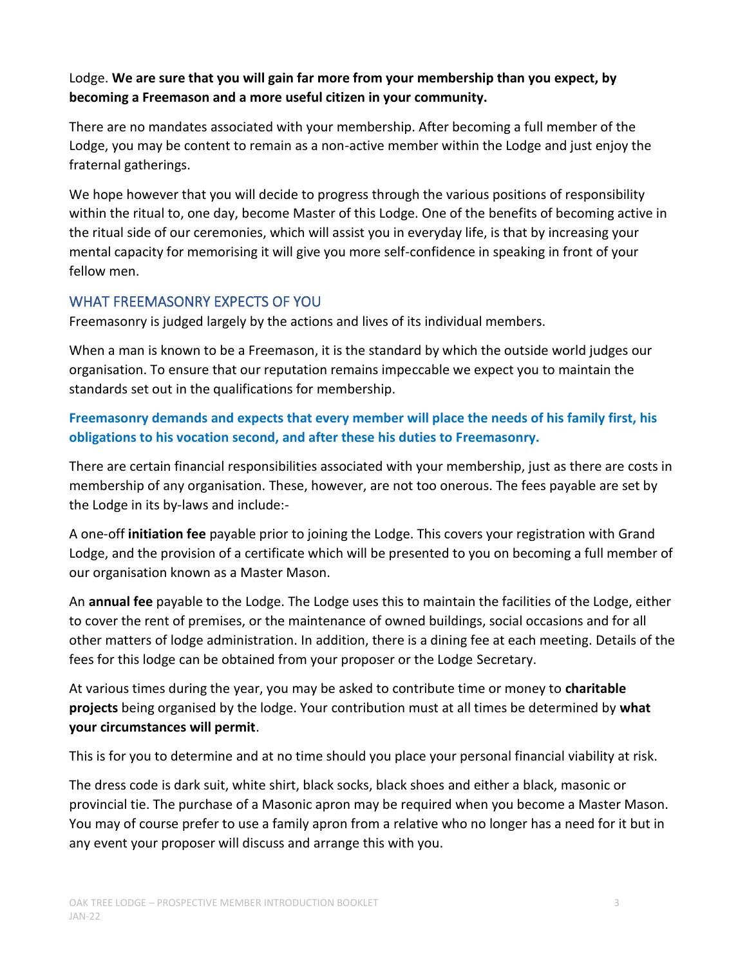#### Lodge. **We are sure that you will gain far more from your membership than you expect, by becoming a Freemason and a more useful citizen in your community.**

There are no mandates associated with your membership. After becoming a full member of the Lodge, you may be content to remain as a non-active member within the Lodge and just enjoy the fraternal gatherings.

We hope however that you will decide to progress through the various positions of responsibility within the ritual to, one day, become Master of this Lodge. One of the benefits of becoming active in the ritual side of our ceremonies, which will assist you in everyday life, is that by increasing your mental capacity for memorising it will give you more self-confidence in speaking in front of your fellow men.

# WHAT FREEMASONRY EXPECTS OF YOU

Freemasonry is judged largely by the actions and lives of its individual members.

When a man is known to be a Freemason, it is the standard by which the outside world judges our organisation. To ensure that our reputation remains impeccable we expect you to maintain the standards set out in the qualifications for membership.

# **Freemasonry demands and expects that every member will place the needs of his family first, his obligations to his vocation second, and after these his duties to Freemasonry.**

There are certain financial responsibilities associated with your membership, just as there are costs in membership of any organisation. These, however, are not too onerous. The fees payable are set by the Lodge in its by-laws and include:-

A one-off **initiation fee** payable prior to joining the Lodge. This covers your registration with Grand Lodge, and the provision of a certificate which will be presented to you on becoming a full member of our organisation known as a Master Mason.

An **annual fee** payable to the Lodge. The Lodge uses this to maintain the facilities of the Lodge, either to cover the rent of premises, or the maintenance of owned buildings, social occasions and for all other matters of lodge administration. In addition, there is a dining fee at each meeting. Details of the fees for this lodge can be obtained from your proposer or the Lodge Secretary.

At various times during the year, you may be asked to contribute time or money to **charitable projects** being organised by the lodge. Your contribution must at all times be determined by **what your circumstances will permit**.

This is for you to determine and at no time should you place your personal financial viability at risk.

The dress code is dark suit, white shirt, black socks, black shoes and either a black, masonic or provincial tie. The purchase of a Masonic apron may be required when you become a Master Mason. You may of course prefer to use a family apron from a relative who no longer has a need for it but in any event your proposer will discuss and arrange this with you.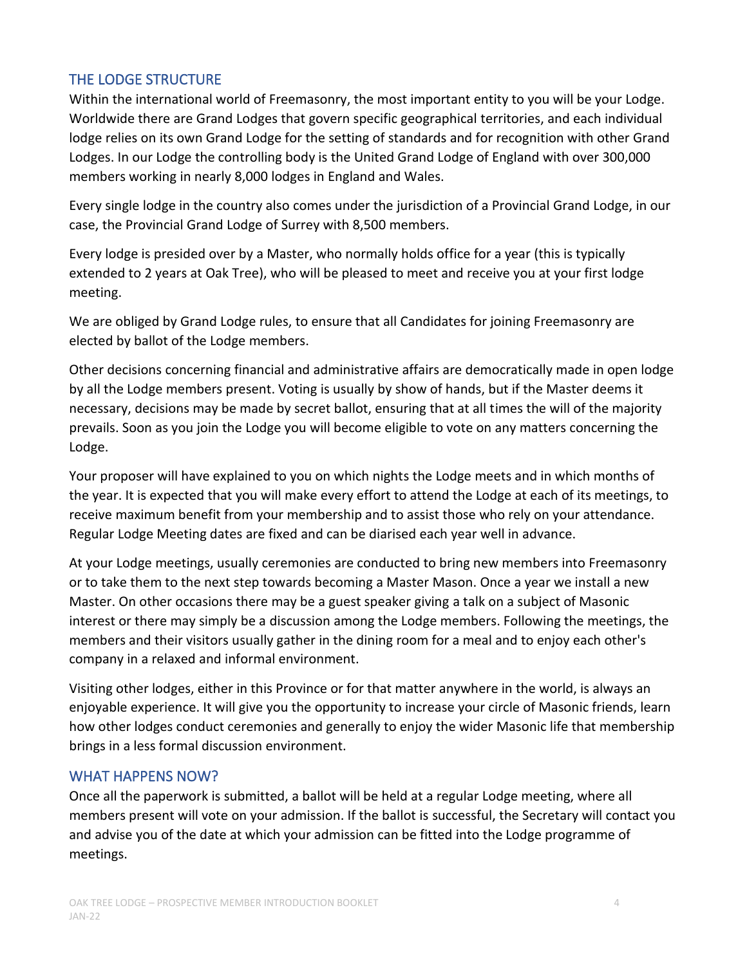#### THE LODGE STRUCTURE

Within the international world of Freemasonry, the most important entity to you will be your Lodge. Worldwide there are Grand Lodges that govern specific geographical territories, and each individual lodge relies on its own Grand Lodge for the setting of standards and for recognition with other Grand Lodges. In our Lodge the controlling body is the United Grand Lodge of England with over 300,000 members working in nearly 8,000 lodges in England and Wales.

Every single lodge in the country also comes under the jurisdiction of a Provincial Grand Lodge, in our case, the Provincial Grand Lodge of Surrey with 8,500 members.

Every lodge is presided over by a Master, who normally holds office for a year (this is typically extended to 2 years at Oak Tree), who will be pleased to meet and receive you at your first lodge meeting.

We are obliged by Grand Lodge rules, to ensure that all Candidates for joining Freemasonry are elected by ballot of the Lodge members.

Other decisions concerning financial and administrative affairs are democratically made in open lodge by all the Lodge members present. Voting is usually by show of hands, but if the Master deems it necessary, decisions may be made by secret ballot, ensuring that at all times the will of the majority prevails. Soon as you join the Lodge you will become eligible to vote on any matters concerning the Lodge.

Your proposer will have explained to you on which nights the Lodge meets and in which months of the year. It is expected that you will make every effort to attend the Lodge at each of its meetings, to receive maximum benefit from your membership and to assist those who rely on your attendance. Regular Lodge Meeting dates are fixed and can be diarised each year well in advance.

At your Lodge meetings, usually ceremonies are conducted to bring new members into Freemasonry or to take them to the next step towards becoming a Master Mason. Once a year we install a new Master. On other occasions there may be a guest speaker giving a talk on a subject of Masonic interest or there may simply be a discussion among the Lodge members. Following the meetings, the members and their visitors usually gather in the dining room for a meal and to enjoy each other's company in a relaxed and informal environment.

Visiting other lodges, either in this Province or for that matter anywhere in the world, is always an enjoyable experience. It will give you the opportunity to increase your circle of Masonic friends, learn how other lodges conduct ceremonies and generally to enjoy the wider Masonic life that membership brings in a less formal discussion environment.

#### WHAT HAPPENS NOW?

Once all the paperwork is submitted, a ballot will be held at a regular Lodge meeting, where all members present will vote on your admission. If the ballot is successful, the Secretary will contact you and advise you of the date at which your admission can be fitted into the Lodge programme of meetings.